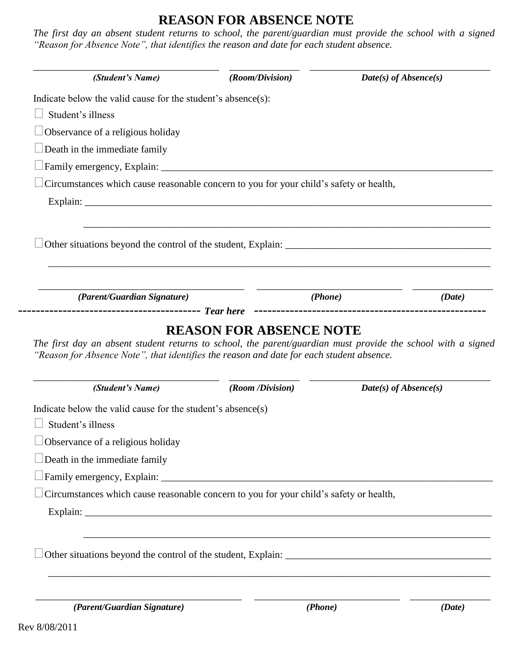## **REASON FOR ABSENCE NOTE**

*The first day an absent student returns to school, the parent/guardian must provide the school with a signed "Reason for Absence Note", that identifies the reason and date for each student absence.*

| (Student's Name)                                                                                                                                                            | (Room/Division)                                                                  | $Date(s)$ of Absence(s) |        |
|-----------------------------------------------------------------------------------------------------------------------------------------------------------------------------|----------------------------------------------------------------------------------|-------------------------|--------|
| Indicate below the valid cause for the student's absence(s):                                                                                                                |                                                                                  |                         |        |
| Student's illness                                                                                                                                                           |                                                                                  |                         |        |
| Observance of a religious holiday                                                                                                                                           |                                                                                  |                         |        |
| Death in the immediate family                                                                                                                                               |                                                                                  |                         |        |
| Family emergency, Explain:                                                                                                                                                  |                                                                                  |                         |        |
| Circumstances which cause reasonable concern to you for your child's safety or health,                                                                                      |                                                                                  |                         |        |
|                                                                                                                                                                             |                                                                                  |                         |        |
|                                                                                                                                                                             | ,我们也不能在这里的时候,我们也不能在这里的时候,我们也不能在这里的时候,我们也不能会在这里的时候,我们也不能会在这里的时候,我们也不能会在这里的时候,我们也不 |                         |        |
|                                                                                                                                                                             |                                                                                  |                         |        |
|                                                                                                                                                                             |                                                                                  |                         |        |
| (Parent/Guardian Signature)                                                                                                                                                 | <b>REASON FOR ABSENCE NOTE</b>                                                   | ( <i>Phone</i> )        | (Date) |
| "Reason for Absence Note", that identifies the reason and date for each student absence.                                                                                    |                                                                                  |                         |        |
| (Student's Name)                                                                                                                                                            | (Room /Division)                                                                 | $Date(s)$ of Absence(s) |        |
|                                                                                                                                                                             |                                                                                  |                         |        |
| Student's illness                                                                                                                                                           |                                                                                  |                         |        |
| Observance of a religious holiday                                                                                                                                           |                                                                                  |                         |        |
| Death in the immediate family                                                                                                                                               |                                                                                  |                         |        |
|                                                                                                                                                                             |                                                                                  |                         |        |
| Circumstances which cause reasonable concern to you for your child's safety or health,                                                                                      |                                                                                  |                         |        |
|                                                                                                                                                                             |                                                                                  |                         |        |
| The first day an absent student returns to school, the parent/guardian must provide the school with a signed<br>Indicate below the valid cause for the student's absence(s) |                                                                                  |                         |        |